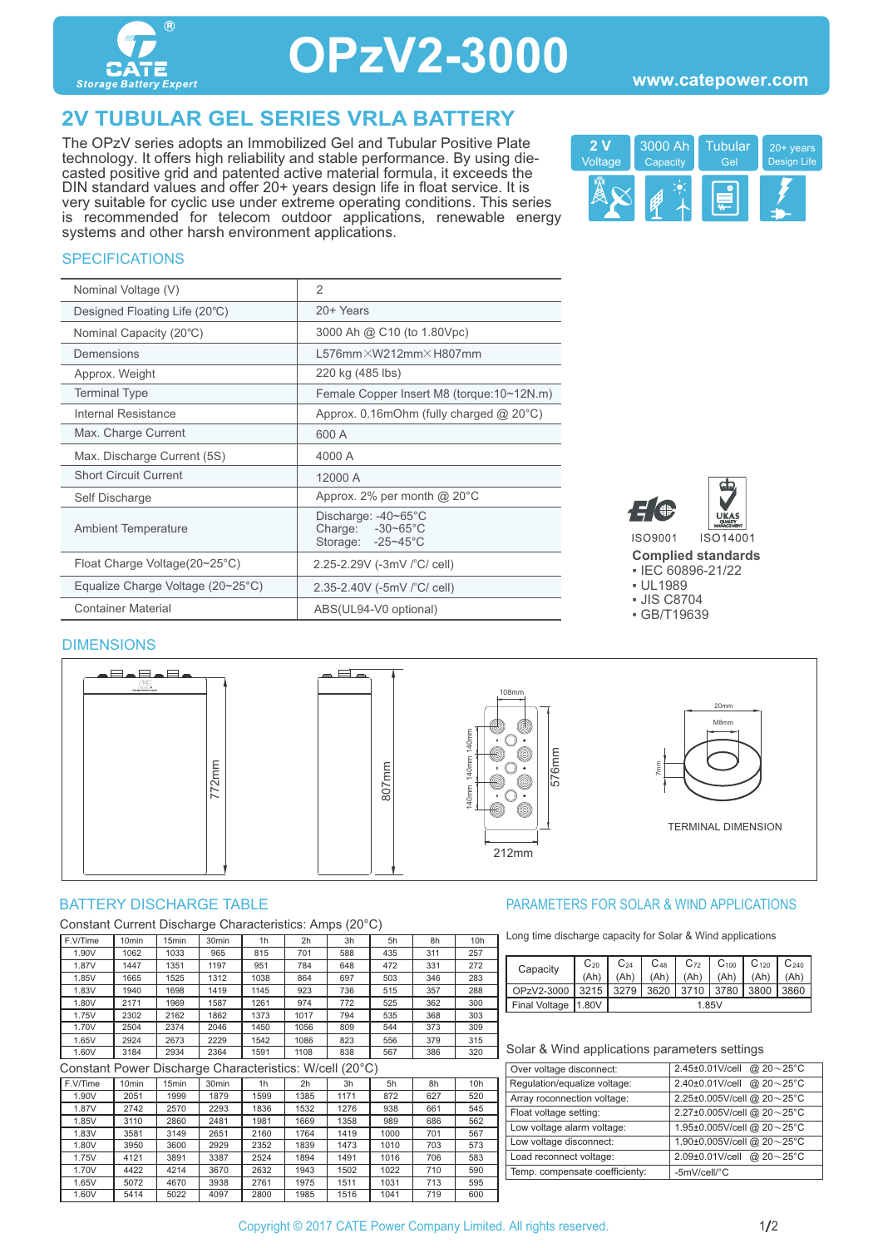

## **OPzV2-3000**

## **2V TUBULAR GEL SERIES VRLA BATTERY**

The OPzV series adopts an Immobilized Gel and Tubular Positive Plate technology. It offers high reliability and stable performance. By using diecasted positive grid and patented active material formula, it exceeds the DIN standard values and offer 20+ years design life in float service. It is very suitable for cyclic use under extreme operating conditions. This series is recommended for telecom outdoor applications, renewable energy systems and other harsh environment applications.



#### **SPECIFICATIONS**

| Nominal Voltage (V)               | $\mathfrak{D}$                                                         |
|-----------------------------------|------------------------------------------------------------------------|
| Designed Floating Life (20°C)     | 20+ Years                                                              |
| Nominal Capacity (20°C)           | 3000 Ah @ C10 (to 1.80Vpc)                                             |
| Demensions                        | $L576$ mm $\times$ W212mm $\times$ H807mm                              |
| Approx. Weight                    | 220 kg (485 lbs)                                                       |
| <b>Terminal Type</b>              | Female Copper Insert M8 (torque: 10~12N.m)                             |
| Internal Resistance               | Approx. $0.16$ mOhm (fully charged $@$ 20 $°C$ )                       |
| Max. Charge Current               | 600 A                                                                  |
| Max. Discharge Current (5S)       | 4000 A                                                                 |
| <b>Short Circuit Current</b>      | 12000 A                                                                |
| Self Discharge                    | Approx. 2% per month $@$ 20 $°C$                                       |
| <b>Ambient Temperature</b>        | Discharge: -40~65°C<br>Charge: $-30-65^{\circ}$ C<br>Storage: -25~45°C |
| Float Charge Voltage(20~25°C)     | 2.25-2.29V (-3mV / °C/ cell)                                           |
| Equalize Charge Voltage (20~25°C) | 2.35-2.40V (-5mV $\degree$ C/ cell)                                    |
| <b>Container Material</b>         | ABS(UL94-V0 optional)                                                  |



**Complied standards** 

▪ IEC 60896-21/22

▪ UL1989

▪ JIS C8704

▪ GB/T19639

### DIMENSIONS



Constant Current Discharge Characteristics: Amps (20°C)

| F.V/Time | 10 <sub>min</sub> | 15 <sub>min</sub> | 30 <sub>min</sub> | 1 <sub>h</sub> | 2h   | 3h  | 5h  | 8h  | 10 <sub>h</sub> |
|----------|-------------------|-------------------|-------------------|----------------|------|-----|-----|-----|-----------------|
| 1.90V    | 1062              | 1033              | 965               | 815            | 701  | 588 | 435 | 311 | 257             |
| 1.87V    | 1447              | 1351              | 1197              | 951            | 784  | 648 | 472 | 331 | 272             |
| 1.85V    | 1665              | 1525              | 1312              | 1038           | 864  | 697 | 503 | 346 | 283             |
| 1.83V    | 1940              | 1698              | 1419              | 1145           | 923  | 736 | 515 | 357 | 288             |
| 1.80V    | 2171              | 1969              | 1587              | 1261           | 974  | 772 | 525 | 362 | 300             |
| 1.75V    | 2302              | 2162              | 1862              | 1373           | 1017 | 794 | 535 | 368 | 303             |
| 1.70V    | 2504              | 2374              | 2046              | 1450           | 1056 | 809 | 544 | 373 | 309             |
| 1.65V    | 2924              | 2673              | 2229              | 1542           | 1086 | 823 | 556 | 379 | 315             |
| 1.60V    | 3184              | 2934              | 2364              | 1591           | 1108 | 838 | 567 | 386 | 320             |

Constant Power Discharge Characteristics: W/cell (20°C)

| .        |                   |                   |                   |                |      |      |      |     |     |
|----------|-------------------|-------------------|-------------------|----------------|------|------|------|-----|-----|
| F.V/Time | 10 <sub>min</sub> | 15 <sub>min</sub> | 30 <sub>min</sub> | 1 <sub>h</sub> | 2h   | 3h   | 5h   | 8h  | 10h |
| 1.90V    | 2051              | 1999              | 1879              | 1599           | 1385 | 1171 | 872  | 627 | 520 |
| 1.87V    | 2742              | 2570              | 2293              | 1836           | 1532 | 1276 | 938  | 661 | 545 |
| 1.85V    | 3110              | 2860              | 2481              | 1981           | 1669 | 1358 | 989  | 686 | 562 |
| 1.83V    | 3581              | 3149              | 2651              | 2160           | 1764 | 1419 | 1000 | 701 | 567 |
| 1.80V    | 3950              | 3600              | 2929              | 2352           | 1839 | 1473 | 1010 | 703 | 573 |
| 1.75V    | 4121              | 3891              | 3387              | 2524           | 1894 | 1491 | 1016 | 706 | 583 |
| 1.70V    | 4422              | 4214              | 3670              | 2632           | 1943 | 1502 | 1022 | 710 | 590 |
| 1.65V    | 5072              | 4670              | 3938              | 2761           | 1975 | 1511 | 1031 | 713 | 595 |
| 1.60V    | 5414              | 5022              | 4097              | 2800           | 1985 | 1516 | 1041 | 719 | 600 |

#### BATTERY DISCHARGE TABLE **External of the Solution State of the PARAMETERS FOR SOLAR & WIND APPLICATIONS**

Long time discharge capacity for Solar & Wind applications

| Capacity              | $C_{20}$ | $C_{24}$ | $C_{48}$ | $C_{72}$ | $C_{100}$ | $C_{120}$ | $C_{240}$ |
|-----------------------|----------|----------|----------|----------|-----------|-----------|-----------|
|                       | (Ah'     |          | (Ah)     | (Ah)     | (Ah)      |           | (Ah       |
| OPzV2-3000            | 3215     | 3279     | 3620     | 3710     | 3780      |           | 3860      |
| Final Voltage   1.80V |          | 1.85V    |          |          |           |           |           |

| Over voltage disconnect:       | 2.45±0.01V/cell<br>@ $20 - 25$ °C |
|--------------------------------|-----------------------------------|
| Regulation/equalize voltage:   | @ $20 - 25$ °C<br>2.40±0.01V/cell |
| Array roconnection voltage:    | 2.25±0.005V/cell @ 20~25°C        |
| Float voltage setting:         | 2.27±0.005V/cell @ 20~25°C        |
| Low voltage alarm voltage:     | 1.95±0.005V/cell @ 20~25°C        |
| Low voltage disconnect:        | 1.90±0.005V/cell @ 20~25°C        |
| Load reconnect voltage:        | 2.09±0.01V/cell<br>@ $20 - 25$ °C |
| Temp. compensate coefficienty: | -5mV/cell/°C                      |